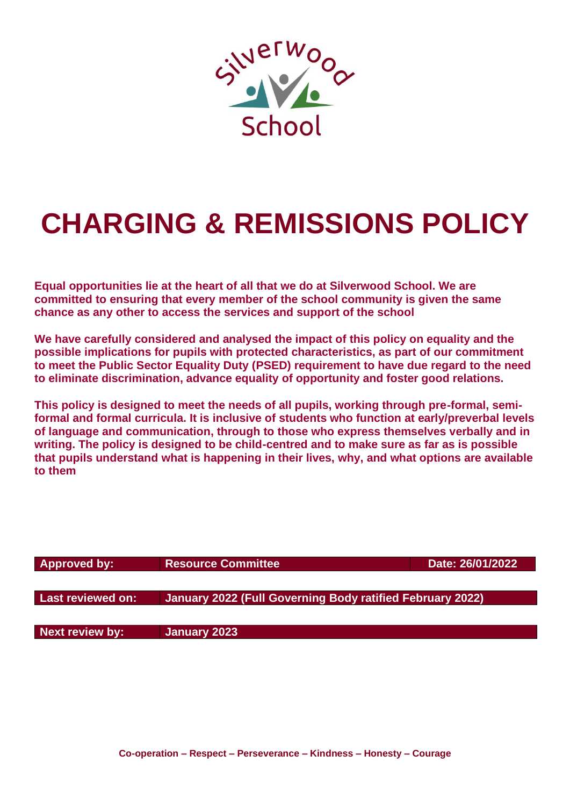

# **CHARGING & REMISSIONS POLICY**

**Equal opportunities lie at the heart of all that we do at Silverwood School. We are committed to ensuring that every member of the school community is given the same chance as any other to access the services and support of the school**

**We have carefully considered and analysed the impact of this policy on equality and the possible implications for pupils with protected characteristics, as part of our commitment to meet the Public Sector Equality Duty (PSED) requirement to have due regard to the need to eliminate discrimination, advance equality of opportunity and foster good relations.**

**This policy is designed to meet the needs of all pupils, working through pre-formal, semiformal and formal curricula. It is inclusive of students who function at early/preverbal levels of language and communication, through to those who express themselves verbally and in writing. The policy is designed to be child-centred and to make sure as far as is possible that pupils understand what is happening in their lives, why, and what options are available to them**

| Approved by:      | <b>Resource Committee</b>                                 | Date: 26/01/2022 |
|-------------------|-----------------------------------------------------------|------------------|
|                   |                                                           |                  |
| Last reviewed on: | January 2022 (Full Governing Body ratified February 2022) |                  |
|                   |                                                           |                  |
| Next review by:   | January 2023                                              |                  |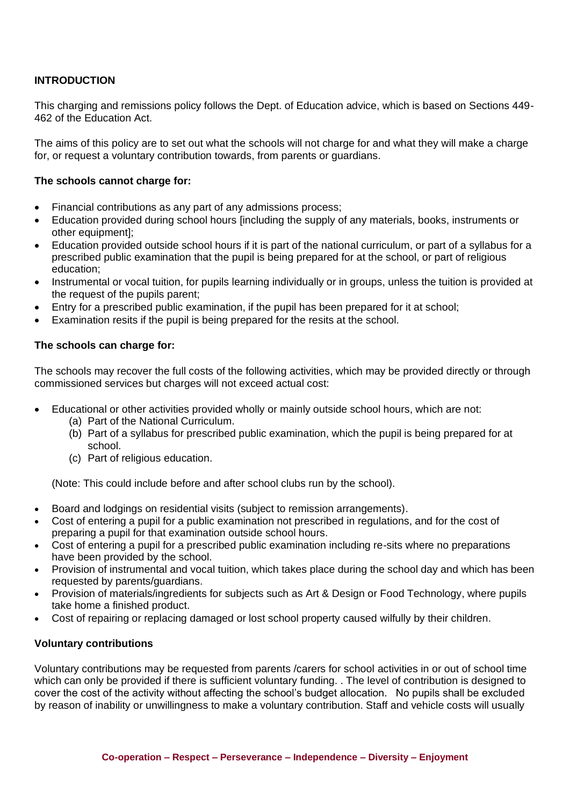# **INTRODUCTION**

This charging and remissions policy follows the Dept. of Education advice, which is based on Sections 449- 462 of the Education Act.

The aims of this policy are to set out what the schools will not charge for and what they will make a charge for, or request a voluntary contribution towards, from parents or guardians.

# **The schools cannot charge for:**

- Financial contributions as any part of any admissions process;
- Education provided during school hours [including the supply of any materials, books, instruments or other equipment];
- Education provided outside school hours if it is part of the national curriculum, or part of a syllabus for a prescribed public examination that the pupil is being prepared for at the school, or part of religious education;
- Instrumental or vocal tuition, for pupils learning individually or in groups, unless the tuition is provided at the request of the pupils parent;
- Entry for a prescribed public examination, if the pupil has been prepared for it at school;
- Examination resits if the pupil is being prepared for the resits at the school.

#### **The schools can charge for:**

The schools may recover the full costs of the following activities, which may be provided directly or through commissioned services but charges will not exceed actual cost:

- Educational or other activities provided wholly or mainly outside school hours, which are not:
	- (a) Part of the National Curriculum.
	- (b) Part of a syllabus for prescribed public examination, which the pupil is being prepared for at school.
	- (c) Part of religious education.

(Note: This could include before and after school clubs run by the school).

- Board and lodgings on residential visits (subject to remission arrangements).
- Cost of entering a pupil for a public examination not prescribed in regulations, and for the cost of preparing a pupil for that examination outside school hours.
- Cost of entering a pupil for a prescribed public examination including re-sits where no preparations have been provided by the school.
- Provision of instrumental and vocal tuition, which takes place during the school day and which has been requested by parents/guardians.
- Provision of materials/ingredients for subjects such as Art & Design or Food Technology, where pupils take home a finished product.
- Cost of repairing or replacing damaged or lost school property caused wilfully by their children.

# **Voluntary contributions**

Voluntary contributions may be requested from parents /carers for school activities in or out of school time which can only be provided if there is sufficient voluntary funding. . The level of contribution is designed to cover the cost of the activity without affecting the school's budget allocation. No pupils shall be excluded by reason of inability or unwillingness to make a voluntary contribution. Staff and vehicle costs will usually